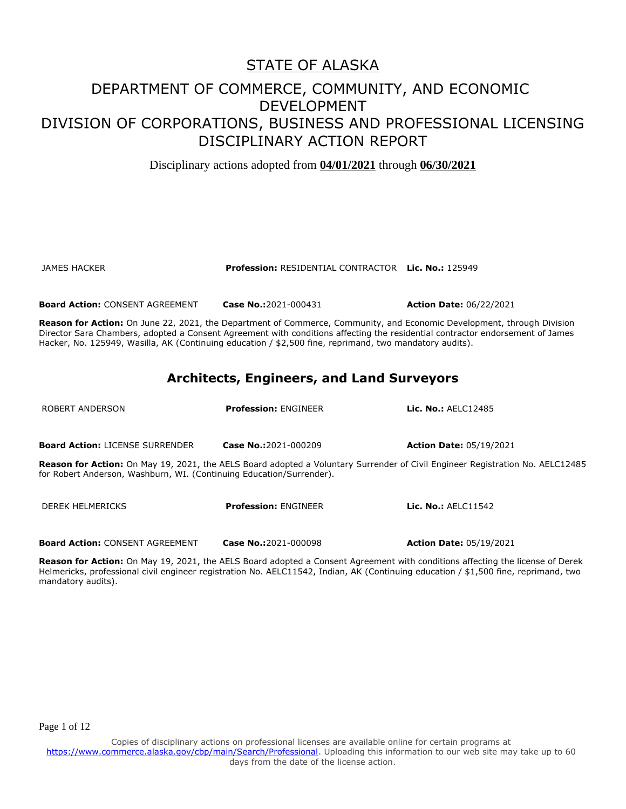Disciplinary actions adopted from **04/01/2021** through **06/30/2021**

JAMES HACKER **Profession:** RESIDENTIAL CONTRACTOR **Lic. No.:** 125949

**Board Action:** CONSENT AGREEMENT **Case No.:**2021-000431 **Action Date:** 06/22/2021

**Reason for Action:** On June 22, 2021, the Department of Commerce, Community, and Economic Development, through Division Director Sara Chambers, adopted a Consent Agreement with conditions affecting the residential contractor endorsement of James Hacker, No. 125949, Wasilla, AK (Continuing education / \$2,500 fine, reprimand, two mandatory audits).

#### **Architects, Engineers, and Land Surveyors**

| ROBERT ANDERSON                                                                                                                                                                                       | <b>Profession: FNGINFFR</b> | Lic. No.: AELC12485            |  |
|-------------------------------------------------------------------------------------------------------------------------------------------------------------------------------------------------------|-----------------------------|--------------------------------|--|
| <b>Board Action: LICENSE SURRENDER</b>                                                                                                                                                                | Case No.:2021-000209        | <b>Action Date: 05/19/2021</b> |  |
| Reason for Action: On May 19, 2021, the AELS Board adopted a Voluntary Surrender of Civil Engineer Registration No. AELC12485<br>for Robert Anderson, Washburn, WI. (Continuing Education/Surrender). |                             |                                |  |
| DEREK HELMERICKS                                                                                                                                                                                      | <b>Profession: FNGINFFR</b> | <b>Lic. No.: AFI C11542</b>    |  |

**Board Action:** CONSENT AGREEMENT **Case No.:**2021-000098 **Action Date:** 05/19/2021

**Reason for Action:** On May 19, 2021, the AELS Board adopted a Consent Agreement with conditions affecting the license of Derek Helmericks, professional civil engineer registration No. AELC11542, Indian, AK (Continuing education / \$1,500 fine, reprimand, two mandatory audits).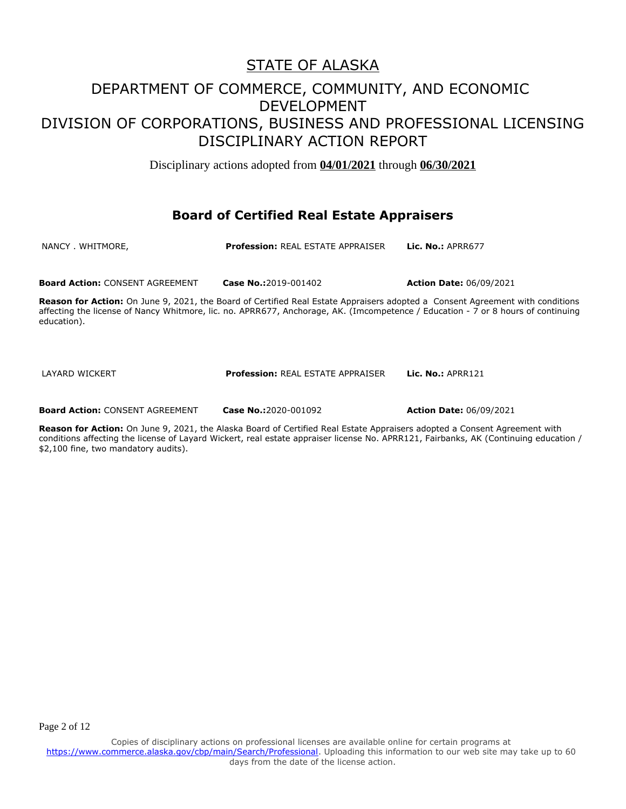Disciplinary actions adopted from **04/01/2021** through **06/30/2021**

#### **Board of Certified Real Estate Appraisers**

NANCY . WHITMORE, **Profession:** REAL ESTATE APPRAISER **Lic. No.:** APRR677

**Board Action:** CONSENT AGREEMENT **Case No.:**2019-001402 **Action Date:** 06/09/2021

**Reason for Action:** On June 9, 2021, the Board of Certified Real Estate Appraisers adopted a Consent Agreement with conditions affecting the license of Nancy Whitmore, lic. no. APRR677, Anchorage, AK. (Imcompetence / Education - 7 or 8 hours of continuing education).

LAYARD WICKERT **Profession:** REAL ESTATE APPRAISER **Lic. No.:** APRR121

**Board Action:** CONSENT AGREEMENT **Case No.:**2020-001092 **Action Date:** 06/09/2021

**Reason for Action:** On June 9, 2021, the Alaska Board of Certified Real Estate Appraisers adopted a Consent Agreement with conditions affecting the license of Layard Wickert, real estate appraiser license No. APRR121, Fairbanks, AK (Continuing education / \$2,100 fine, two mandatory audits).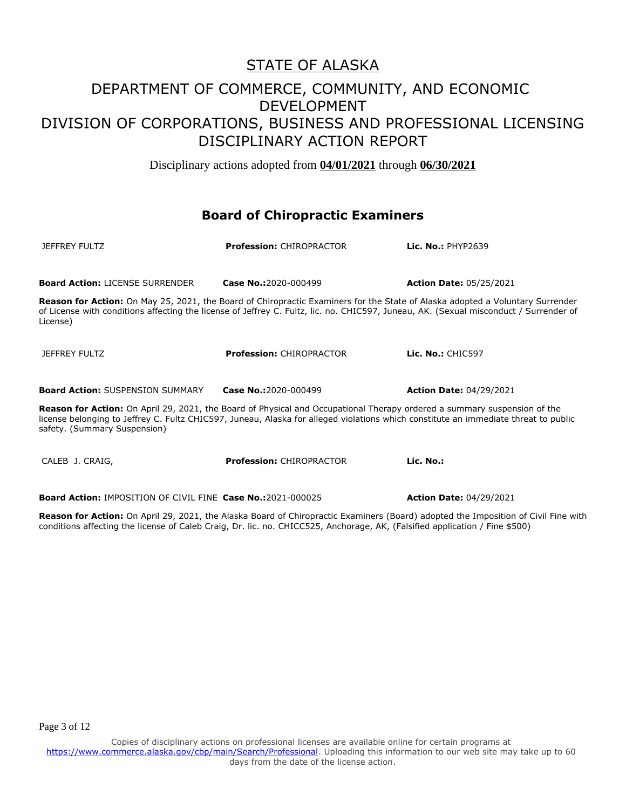Disciplinary actions adopted from **04/01/2021** through **06/30/2021**

#### **Board of Chiropractic Examiners**

| <b>JEFFREY FULTZ</b>                                                                                                                                                                                                                                                                            | <b>Profession: CHIROPRACTOR</b> | Lic. No.: PHYP2639             |
|-------------------------------------------------------------------------------------------------------------------------------------------------------------------------------------------------------------------------------------------------------------------------------------------------|---------------------------------|--------------------------------|
| <b>Board Action: LICENSE SURRENDER</b>                                                                                                                                                                                                                                                          | Case No.:2020-000499            | <b>Action Date: 05/25/2021</b> |
| Reason for Action: On May 25, 2021, the Board of Chiropractic Examiners for the State of Alaska adopted a Voluntary Surrender<br>of License with conditions affecting the license of Jeffrey C. Fultz, lic. no. CHIC597, Juneau, AK. (Sexual misconduct / Surrender of<br>License)              |                                 |                                |
| <b>JEFFREY FULTZ</b>                                                                                                                                                                                                                                                                            | <b>Profession: CHIROPRACTOR</b> | Lic. No.: CHIC597              |
| <b>Board Action: SUSPENSION SUMMARY</b>                                                                                                                                                                                                                                                         | Case No.:2020-000499            | <b>Action Date: 04/29/2021</b> |
| Reason for Action: On April 29, 2021, the Board of Physical and Occupational Therapy ordered a summary suspension of the<br>license belonging to Jeffrey C. Fultz CHIC597, Juneau, Alaska for alleged violations which constitute an immediate threat to public<br>safety. (Summary Suspension) |                                 |                                |
| CALEB J. CRAIG,                                                                                                                                                                                                                                                                                 | <b>Profession: CHIROPRACTOR</b> | Lic. No.:                      |
| <b>Board Action: IMPOSITION OF CIVIL FINE Case No.:2021-000025</b>                                                                                                                                                                                                                              |                                 | <b>Action Date: 04/29/2021</b> |

**Reason for Action:** On April 29, 2021, the Alaska Board of Chiropractic Examiners (Board) adopted the Imposition of Civil Fine with conditions affecting the license of Caleb Craig, Dr. lic. no. CHICC525, Anchorage, AK, (Falsified application / Fine \$500)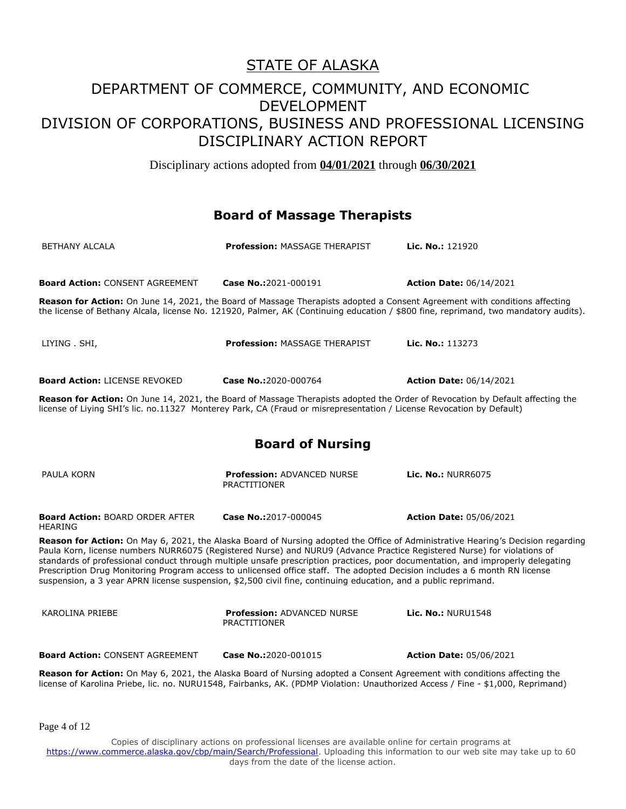Disciplinary actions adopted from **04/01/2021** through **06/30/2021**

#### **Board of Massage Therapists**

| <b>BETHANY ALCALA</b>                                                                                                                                                                                                                                                                                                                                                                                                                                                                                                                                                                                                                           | <b>Profession: MASSAGE THERAPIST</b>                     | Lic. No.: 121920               |  |  |
|-------------------------------------------------------------------------------------------------------------------------------------------------------------------------------------------------------------------------------------------------------------------------------------------------------------------------------------------------------------------------------------------------------------------------------------------------------------------------------------------------------------------------------------------------------------------------------------------------------------------------------------------------|----------------------------------------------------------|--------------------------------|--|--|
|                                                                                                                                                                                                                                                                                                                                                                                                                                                                                                                                                                                                                                                 |                                                          |                                |  |  |
| <b>Board Action: CONSENT AGREEMENT</b>                                                                                                                                                                                                                                                                                                                                                                                                                                                                                                                                                                                                          | Case No.:2021-000191                                     | <b>Action Date: 06/14/2021</b> |  |  |
| Reason for Action: On June 14, 2021, the Board of Massage Therapists adopted a Consent Agreement with conditions affecting<br>the license of Bethany Alcala, license No. 121920, Palmer, AK (Continuing education / \$800 fine, reprimand, two mandatory audits).                                                                                                                                                                                                                                                                                                                                                                               |                                                          |                                |  |  |
| LIYING . SHI,                                                                                                                                                                                                                                                                                                                                                                                                                                                                                                                                                                                                                                   | <b>Profession: MASSAGE THERAPIST</b>                     | Lic. No.: 113273               |  |  |
| <b>Board Action: LICENSE REVOKED</b>                                                                                                                                                                                                                                                                                                                                                                                                                                                                                                                                                                                                            | Case No.:2020-000764                                     | <b>Action Date: 06/14/2021</b> |  |  |
| Reason for Action: On June 14, 2021, the Board of Massage Therapists adopted the Order of Revocation by Default affecting the<br>license of Liying SHI's lic. no.11327 Monterey Park, CA (Fraud or misrepresentation / License Revocation by Default)                                                                                                                                                                                                                                                                                                                                                                                           |                                                          |                                |  |  |
|                                                                                                                                                                                                                                                                                                                                                                                                                                                                                                                                                                                                                                                 | <b>Board of Nursing</b>                                  |                                |  |  |
| PAULA KORN                                                                                                                                                                                                                                                                                                                                                                                                                                                                                                                                                                                                                                      | <b>Profession: ADVANCED NURSE</b><br><b>PRACTITIONER</b> | <b>Lic. No.: NURR6075</b>      |  |  |
| <b>Board Action: BOARD ORDER AFTER</b><br><b>HEARING</b>                                                                                                                                                                                                                                                                                                                                                                                                                                                                                                                                                                                        | Case No.:2017-000045                                     | <b>Action Date: 05/06/2021</b> |  |  |
| Reason for Action: On May 6, 2021, the Alaska Board of Nursing adopted the Office of Administrative Hearing's Decision regarding<br>Paula Korn, license numbers NURR6075 (Registered Nurse) and NURU9 (Advance Practice Registered Nurse) for violations of<br>standards of professional conduct through multiple unsafe prescription practices, poor documentation, and improperly delegating<br>Prescription Drug Monitoring Program access to unlicensed office staff. The adopted Decision includes a 6 month RN license<br>suspension, a 3 year APRN license suspension, \$2,500 civil fine, continuing education, and a public reprimand. |                                                          |                                |  |  |
| KAROLINA PRIEBE                                                                                                                                                                                                                                                                                                                                                                                                                                                                                                                                                                                                                                 | <b>Profession: ADVANCED NURSE</b><br><b>PRACTITIONER</b> | <b>Lic. No.: NURU1548</b>      |  |  |
| <b>Board Action: CONSENT AGREEMENT</b>                                                                                                                                                                                                                                                                                                                                                                                                                                                                                                                                                                                                          | Case No.:2020-001015                                     | <b>Action Date: 05/06/2021</b> |  |  |
| Reason for Action: On May 6, 2021, the Alaska Board of Nursing adopted a Consent Agreement with conditions affecting the<br>license of Karolina Priebe, lic. no. NURU1548, Fairbanks, AK. (PDMP Violation: Unauthorized Access / Fine - \$1,000, Reprimand)                                                                                                                                                                                                                                                                                                                                                                                     |                                                          |                                |  |  |

Page 4 of 12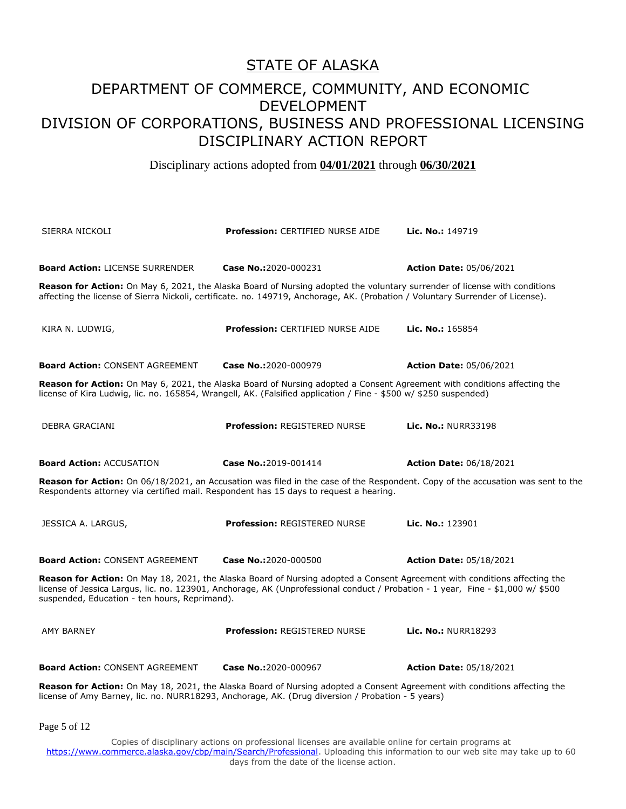Disciplinary actions adopted from **04/01/2021** through **06/30/2021**

| SIERRA NICKOLI                                                                                                                                                                                                                                                                                                | <b>Profession: CERTIFIED NURSE AIDE</b>                                                                                                                                                                                                                     | <b>Lic. No.: 149719</b>        |  |
|---------------------------------------------------------------------------------------------------------------------------------------------------------------------------------------------------------------------------------------------------------------------------------------------------------------|-------------------------------------------------------------------------------------------------------------------------------------------------------------------------------------------------------------------------------------------------------------|--------------------------------|--|
| <b>Board Action: LICENSE SURRENDER</b>                                                                                                                                                                                                                                                                        | Case No.:2020-000231                                                                                                                                                                                                                                        | <b>Action Date: 05/06/2021</b> |  |
|                                                                                                                                                                                                                                                                                                               | Reason for Action: On May 6, 2021, the Alaska Board of Nursing adopted the voluntary surrender of license with conditions<br>affecting the license of Sierra Nickoli, certificate. no. 149719, Anchorage, AK. (Probation / Voluntary Surrender of License). |                                |  |
| KIRA N. LUDWIG,                                                                                                                                                                                                                                                                                               | <b>Profession: CERTIFIED NURSE AIDE</b>                                                                                                                                                                                                                     | Lic. No.: 165854               |  |
| <b>Board Action: CONSENT AGREEMENT</b>                                                                                                                                                                                                                                                                        | Case No.:2020-000979                                                                                                                                                                                                                                        | <b>Action Date: 05/06/2021</b> |  |
| Reason for Action: On May 6, 2021, the Alaska Board of Nursing adopted a Consent Agreement with conditions affecting the<br>license of Kira Ludwig, lic. no. 165854, Wrangell, AK. (Falsified application / Fine - \$500 w/ \$250 suspended)                                                                  |                                                                                                                                                                                                                                                             |                                |  |
| DEBRA GRACIANI                                                                                                                                                                                                                                                                                                | Profession: REGISTERED NURSE                                                                                                                                                                                                                                | <b>Lic. No.: NURR33198</b>     |  |
| <b>Board Action: ACCUSATION</b>                                                                                                                                                                                                                                                                               | Case No.:2019-001414                                                                                                                                                                                                                                        | <b>Action Date: 06/18/2021</b> |  |
| Reason for Action: On 06/18/2021, an Accusation was filed in the case of the Respondent. Copy of the accusation was sent to the<br>Respondents attorney via certified mail. Respondent has 15 days to request a hearing.                                                                                      |                                                                                                                                                                                                                                                             |                                |  |
| JESSICA A. LARGUS,                                                                                                                                                                                                                                                                                            | <b>Profession: REGISTERED NURSE</b>                                                                                                                                                                                                                         | Lic. No.: 123901               |  |
| <b>Board Action: CONSENT AGREEMENT</b>                                                                                                                                                                                                                                                                        | Case No.:2020-000500                                                                                                                                                                                                                                        | <b>Action Date: 05/18/2021</b> |  |
| Reason for Action: On May 18, 2021, the Alaska Board of Nursing adopted a Consent Agreement with conditions affecting the<br>license of Jessica Largus, lic. no. 123901, Anchorage, AK (Unprofessional conduct / Probation - 1 year, Fine - \$1,000 w/ \$500<br>suspended, Education - ten hours, Reprimand). |                                                                                                                                                                                                                                                             |                                |  |
| <b>AMY BARNEY</b>                                                                                                                                                                                                                                                                                             | Profession: REGISTERED NURSE                                                                                                                                                                                                                                | <b>Lic. No.: NURR18293</b>     |  |
| <b>Board Action: CONSENT AGREEMENT</b>                                                                                                                                                                                                                                                                        | Case No.:2020-000967                                                                                                                                                                                                                                        | <b>Action Date: 05/18/2021</b> |  |
|                                                                                                                                                                                                                                                                                                               | Reason for Action: On May 18, 2021, the Alaska Board of Nursing adopted a Consent Agreement with conditions affecting the<br>license of Amy Barney, lic. no. NURR18293, Anchorage, AK. (Drug diversion / Probation - 5 years)                               |                                |  |

Page 5 of 12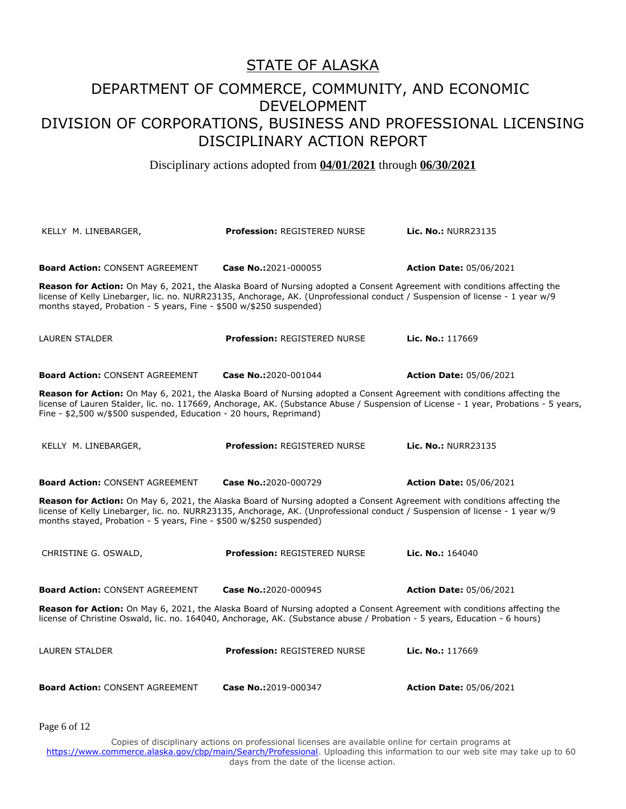#### STATE OF ALASKA

### DEPARTMENT OF COMMERCE, COMMUNITY, AND ECONOMIC DEVELOPMENT DIVISION OF CORPORATIONS, BUSINESS AND PROFESSIONAL LICENSING DISCIPLINARY ACTION REPORT

Disciplinary actions adopted from **04/01/2021** through **06/30/2021**

KELLY M. LINEBARGER, **Profession:** REGISTERED NURSE **Lic. No.:** NURR23135 **Board Action:** CONSENT AGREEMENT **Case No.:**2021-000055 **Action Date:** 05/06/2021 **Reason for Action:** On May 6, 2021, the Alaska Board of Nursing adopted a Consent Agreement with conditions affecting the license of Kelly Linebarger, lic. no. NURR23135, Anchorage, AK. (Unprofessional conduct / Suspension of license - 1 year w/9 months stayed, Probation - 5 years, Fine - \$500 w/\$250 suspended) LAUREN STALDER **Profession:** REGISTERED NURSE **Lic. No.:** 117669 **Board Action:** CONSENT AGREEMENT **Case No.:**2020-001044 **Action Date:** 05/06/2021 **Reason for Action:** On May 6, 2021, the Alaska Board of Nursing adopted a Consent Agreement with conditions affecting the license of Lauren Stalder, lic. no. 117669, Anchorage, AK. (Substance Abuse / Suspension of License - 1 year, Probations - 5 years, Fine - \$2,500 w/\$500 suspended, Education - 20 hours, Reprimand) KELLY M. LINEBARGER, **Profession:** REGISTERED NURSE **Lic. No.:** NURR23135 **Board Action:** CONSENT AGREEMENT **Case No.:**2020-000729 **Action Date:** 05/06/2021 **Reason for Action:** On May 6, 2021, the Alaska Board of Nursing adopted a Consent Agreement with conditions affecting the license of Kelly Linebarger, lic. no. NURR23135, Anchorage, AK. (Unprofessional conduct / Suspension of license - 1 year w/9 months stayed, Probation - 5 years, Fine - \$500 w/\$250 suspended) CHRISTINE G. OSWALD, **Profession:** REGISTERED NURSE **Lic. No.:** 164040 **Board Action:** CONSENT AGREEMENT **Case No.:**2020-000945 **Action Date:** 05/06/2021 **Reason for Action:** On May 6, 2021, the Alaska Board of Nursing adopted a Consent Agreement with conditions affecting the license of Christine Oswald, lic. no. 164040, Anchorage, AK. (Substance abuse / Probation - 5 years, Education - 6 hours) LAUREN STALDER **Profession:** REGISTERED NURSE **Lic. No.:** 117669 **Board Action:** CONSENT AGREEMENT **Case No.:**2019-000347 **Action Date:** 05/06/2021

Page 6 of 12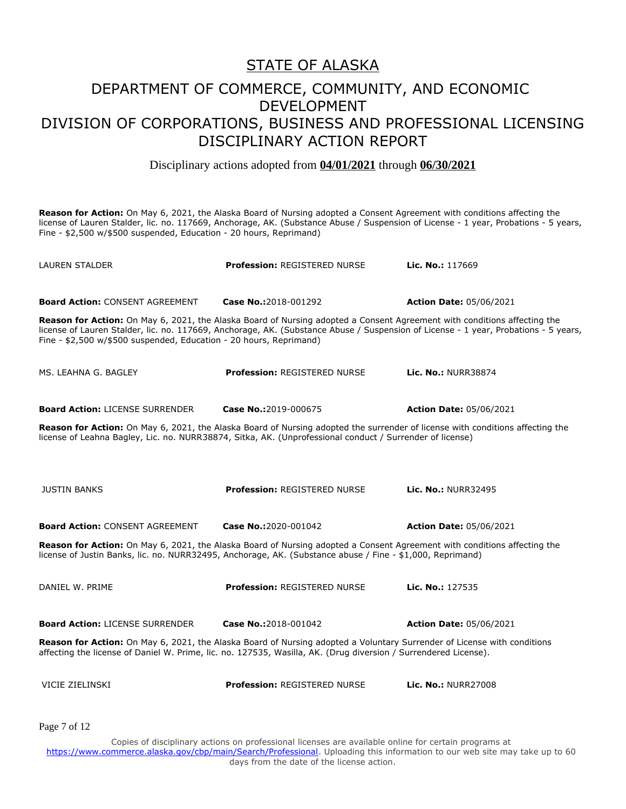Disciplinary actions adopted from **04/01/2021** through **06/30/2021**

**Reason for Action:** On May 6, 2021, the Alaska Board of Nursing adopted a Consent Agreement with conditions affecting the license of Lauren Stalder, lic. no. 117669, Anchorage, AK. (Substance Abuse / Suspension of License - 1 year, Probations - 5 years, Fine - \$2,500 w/\$500 suspended, Education - 20 hours, Reprimand)

| LAUREN STALDER                                                     | <b>Profession: REGISTERED NURSE</b>                                                                                                                                                                                                        | Lic. No.: 117669                                                                                                                    |
|--------------------------------------------------------------------|--------------------------------------------------------------------------------------------------------------------------------------------------------------------------------------------------------------------------------------------|-------------------------------------------------------------------------------------------------------------------------------------|
| <b>Board Action: CONSENT AGREEMENT</b>                             | Case No.:2018-001292                                                                                                                                                                                                                       | <b>Action Date: 05/06/2021</b>                                                                                                      |
| Fine - \$2,500 w/\$500 suspended, Education - 20 hours, Reprimand) | Reason for Action: On May 6, 2021, the Alaska Board of Nursing adopted a Consent Agreement with conditions affecting the                                                                                                                   | license of Lauren Stalder, lic. no. 117669, Anchorage, AK. (Substance Abuse / Suspension of License - 1 year, Probations - 5 years, |
| MS. LEAHNA G. BAGLEY                                               | <b>Profession: REGISTERED NURSE</b>                                                                                                                                                                                                        | Lic. No.: NURR38874                                                                                                                 |
| <b>Board Action: LICENSE SURRENDER</b>                             | Case No.:2019-000675                                                                                                                                                                                                                       | <b>Action Date: 05/06/2021</b>                                                                                                      |
|                                                                    | Reason for Action: On May 6, 2021, the Alaska Board of Nursing adopted the surrender of license with conditions affecting the<br>license of Leahna Bagley, Lic. no. NURR38874, Sitka, AK. (Unprofessional conduct / Surrender of license)  |                                                                                                                                     |
|                                                                    |                                                                                                                                                                                                                                            |                                                                                                                                     |
| <b>JUSTIN BANKS</b>                                                | <b>Profession: REGISTERED NURSE</b>                                                                                                                                                                                                        | <b>Lic. No.: NURR32495</b>                                                                                                          |
| <b>Board Action: CONSENT AGREEMENT</b>                             | Case No.:2020-001042                                                                                                                                                                                                                       | <b>Action Date: 05/06/2021</b>                                                                                                      |
|                                                                    | Reason for Action: On May 6, 2021, the Alaska Board of Nursing adopted a Consent Agreement with conditions affecting the<br>license of Justin Banks, lic. no. NURR32495, Anchorage, AK. (Substance abuse / Fine - \$1,000, Reprimand)      |                                                                                                                                     |
| DANIEL W. PRIME                                                    | <b>Profession: REGISTERED NURSE</b>                                                                                                                                                                                                        | Lic. No.: 127535                                                                                                                    |
| <b>Board Action: LICENSE SURRENDER</b>                             | Case No.:2018-001042                                                                                                                                                                                                                       | <b>Action Date: 05/06/2021</b>                                                                                                      |
|                                                                    | Reason for Action: On May 6, 2021, the Alaska Board of Nursing adopted a Voluntary Surrender of License with conditions<br>affecting the license of Daniel W. Prime, lic. no. 127535, Wasilla, AK. (Drug diversion / Surrendered License). |                                                                                                                                     |
| VICIE ZIELINSKI                                                    | <b>Profession: REGISTERED NURSE</b>                                                                                                                                                                                                        | Lic. No.: NURR27008                                                                                                                 |
| Page 7 of 12                                                       |                                                                                                                                                                                                                                            |                                                                                                                                     |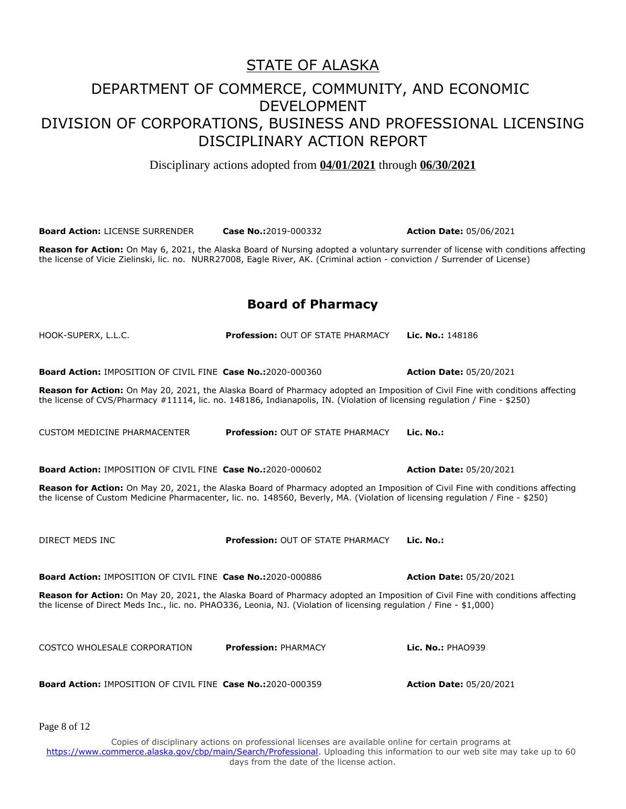Disciplinary actions adopted from **04/01/2021** through **06/30/2021**

**Board Action:** LICENSE SURRENDER **Case No.:**2019-000332 **Action Date:** 05/06/2021

**Reason for Action:** On May 6, 2021, the Alaska Board of Nursing adopted a voluntary surrender of license with conditions affecting the license of Vicie Zielinski, lic. no. NURR27008, Eagle River, AK. (Criminal action - conviction / Surrender of License)

#### **Board of Pharmacy**

| HOOK-SUPERX, L.L.C.                                                                                                                                                                                                                                             | <b>Profession: OUT OF STATE PHARMACY</b> | Lic. No.: 148186               |
|-----------------------------------------------------------------------------------------------------------------------------------------------------------------------------------------------------------------------------------------------------------------|------------------------------------------|--------------------------------|
| <b>Board Action: IMPOSITION OF CIVIL FINE Case No.:2020-000360</b>                                                                                                                                                                                              |                                          | <b>Action Date: 05/20/2021</b> |
| Reason for Action: On May 20, 2021, the Alaska Board of Pharmacy adopted an Imposition of Civil Fine with conditions affecting<br>the license of CVS/Pharmacy #11114, lic. no. 148186, Indianapolis, IN. (Violation of licensing regulation / Fine - \$250)     |                                          |                                |
|                                                                                                                                                                                                                                                                 |                                          |                                |
| <b>CUSTOM MEDICINE PHARMACENTER</b>                                                                                                                                                                                                                             | <b>Profession: OUT OF STATE PHARMACY</b> | Lic. No.:                      |
| <b>Board Action: IMPOSITION OF CIVIL FINE Case No.:2020-000602</b>                                                                                                                                                                                              |                                          | <b>Action Date: 05/20/2021</b> |
| Reason for Action: On May 20, 2021, the Alaska Board of Pharmacy adopted an Imposition of Civil Fine with conditions affecting<br>the license of Custom Medicine Pharmacenter, lic. no. 148560, Beverly, MA. (Violation of licensing regulation / Fine - \$250) |                                          |                                |
|                                                                                                                                                                                                                                                                 |                                          |                                |
| DIRECT MEDS INC                                                                                                                                                                                                                                                 | Profession: OUT OF STATE PHARMACY        | Lic. No.:                      |
| <b>Board Action: IMPOSITION OF CIVIL FINE Case No.:2020-000886</b>                                                                                                                                                                                              |                                          | <b>Action Date: 05/20/2021</b> |
| Reason for Action: On May 20, 2021, the Alaska Board of Pharmacy adopted an Imposition of Civil Fine with conditions affecting<br>the license of Direct Meds Inc., lic. no. PHAO336, Leonia, NJ. (Violation of licensing regulation / Fine - \$1,000)           |                                          |                                |
|                                                                                                                                                                                                                                                                 |                                          |                                |
| COSTCO WHOLESALE CORPORATION                                                                                                                                                                                                                                    | <b>Profession: PHARMACY</b>              | Lic. No.: PHA0939              |
| <b>Board Action: IMPOSITION OF CIVIL FINE Case No.:2020-000359</b>                                                                                                                                                                                              |                                          |                                |
|                                                                                                                                                                                                                                                                 |                                          | <b>Action Date: 05/20/2021</b> |
|                                                                                                                                                                                                                                                                 |                                          |                                |

Page 8 of 12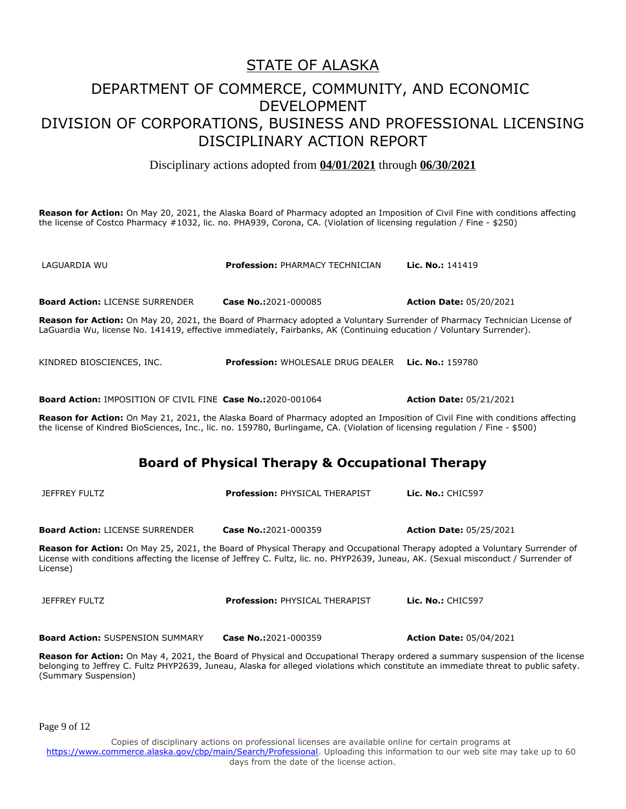Disciplinary actions adopted from **04/01/2021** through **06/30/2021**

**Reason for Action:** On May 20, 2021, the Alaska Board of Pharmacy adopted an Imposition of Civil Fine with conditions affecting the license of Costco Pharmacy #1032, lic. no. PHA939, Corona, CA. (Violation of licensing regulation / Fine - \$250)

LAGUARDIA WU **Profession:** PHARMACY TECHNICIAN **Lic. No.:** 141419 **Board Action:** LICENSE SURRENDER **Case No.:**2021-000085 **Action Date:** 05/20/2021 **Reason for Action:** On May 20, 2021, the Board of Pharmacy adopted a Voluntary Surrender of Pharmacy Technician License of LaGuardia Wu, license No. 141419, effective immediately, Fairbanks, AK (Continuing education / Voluntary Surrender). KINDRED BIOSCIENCES, INC. **Profession:** WHOLESALE DRUG DEALER **Lic. No.:** 159780 **Board Action:** IMPOSITION OF CIVIL FINE **Case No.:**2020-001064 **Action Date:** 05/21/2021 **Reason for Action:** On May 21, 2021, the Alaska Board of Pharmacy adopted an Imposition of Civil Fine with conditions affecting the license of Kindred BioSciences, Inc., lic. no. 159780, Burlingame, CA. (Violation of licensing regulation / Fine - \$500) **Board of Physical Therapy & Occupational Therapy** JEFFREY FULTZ **Profession:** PHYSICAL THERAPIST **Lic. No.:** CHIC597 **Board Action:** LICENSE SURRENDER **Case No.:**2021-000359 **Action Date:** 05/25/2021 **Reason for Action:** On May 25, 2021, the Board of Physical Therapy and Occupational Therapy adopted a Voluntary Surrender of License with conditions affecting the license of Jeffrey C. Fultz, lic. no. PHYP2639, Juneau, AK. (Sexual misconduct / Surrender of License) JEFFREY FULTZ **Profession:** PHYSICAL THERAPIST **Lic. No.:** CHIC597 **Board Action:** SUSPENSION SUMMARY **Case No.:**2021-000359 **Action Date:** 05/04/2021

**Reason for Action:** On May 4, 2021, the Board of Physical and Occupational Therapy ordered a summary suspension of the license belonging to Jeffrey C. Fultz PHYP2639, Juneau, Alaska for alleged violations which constitute an immediate threat to public safety. (Summary Suspension)

Page 9 of 12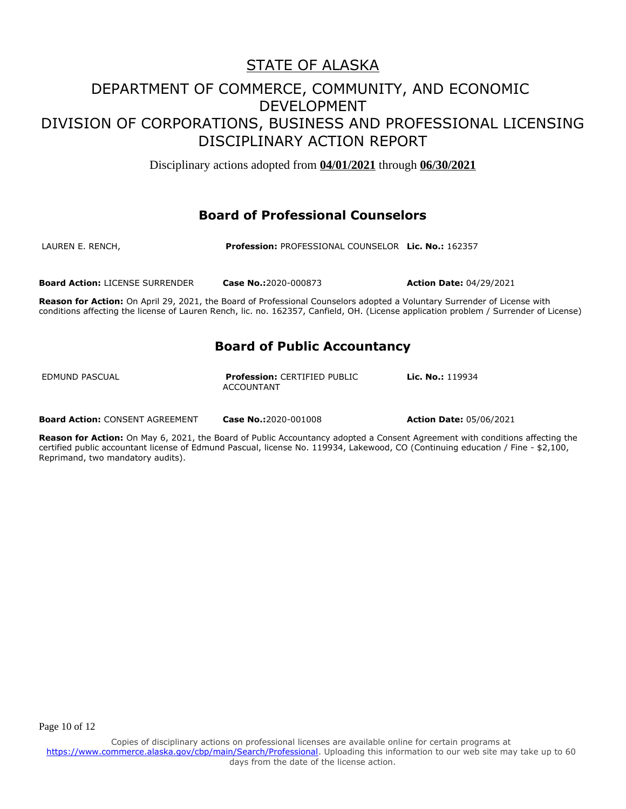Disciplinary actions adopted from **04/01/2021** through **06/30/2021**

#### **Board of Professional Counselors**

| LAUREN E. RENCH, | <b>Profession: PROFESSIONAL COUNSELOR Lic. No.: 162357</b> |
|------------------|------------------------------------------------------------|
|                  |                                                            |
|                  |                                                            |

**Board Action:** LICENSE SURRENDER **Case No.:**2020-000873 **Action Date:** 04/29/2021

**Reason for Action:** On April 29, 2021, the Board of Professional Counselors adopted a Voluntary Surrender of License with conditions affecting the license of Lauren Rench, lic. no. 162357, Canfield, OH. (License application problem / Surrender of License)

#### **Board of Public Accountancy**

EDMUND PASCUAL **Profession:** CERTIFIED PUBLIC ACCOUNTANT

**Lic. No.:** 119934

**Board Action:** CONSENT AGREEMENT **Case No.:**2020-001008 **Action Date:** 05/06/2021

**Reason for Action:** On May 6, 2021, the Board of Public Accountancy adopted a Consent Agreement with conditions affecting the certified public accountant license of Edmund Pascual, license No. 119934, Lakewood, CO (Continuing education / Fine - \$2,100, Reprimand, two mandatory audits).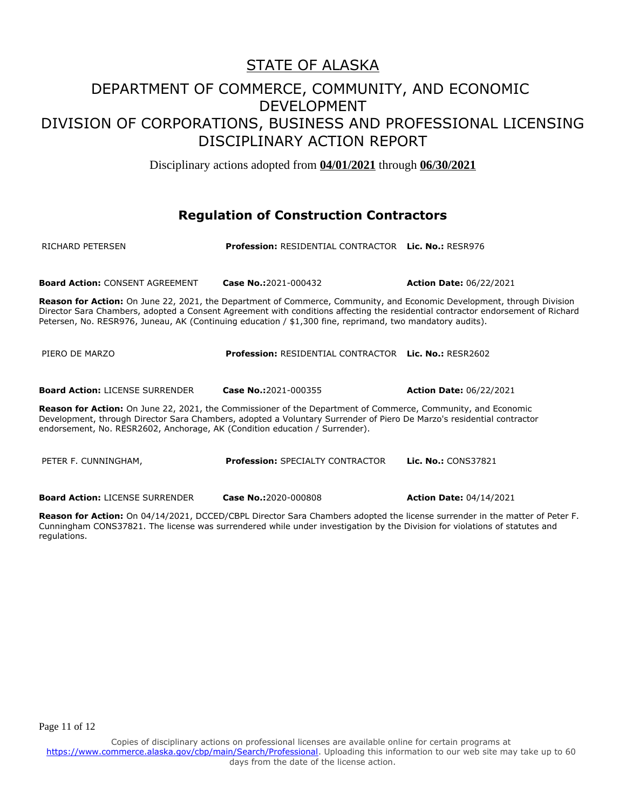Disciplinary actions adopted from **04/01/2021** through **06/30/2021**

#### **Regulation of Construction Contractors**

| RICHARD PETERSEN                                                                                                                                                                                                                                                                                                                                                       | <b>Profession: RESIDENTIAL CONTRACTOR Lic. No.: RESR976</b>  |                                |  |
|------------------------------------------------------------------------------------------------------------------------------------------------------------------------------------------------------------------------------------------------------------------------------------------------------------------------------------------------------------------------|--------------------------------------------------------------|--------------------------------|--|
| <b>Board Action: CONSENT AGREEMENT</b>                                                                                                                                                                                                                                                                                                                                 | Case No.:2021-000432                                         | <b>Action Date: 06/22/2021</b> |  |
| Reason for Action: On June 22, 2021, the Department of Commerce, Community, and Economic Development, through Division<br>Director Sara Chambers, adopted a Consent Agreement with conditions affecting the residential contractor endorsement of Richard<br>Petersen, No. RESR976, Juneau, AK (Continuing education / \$1,300 fine, reprimand, two mandatory audits). |                                                              |                                |  |
| PIERO DE MARZO                                                                                                                                                                                                                                                                                                                                                         | <b>Profession: RESIDENTIAL CONTRACTOR Lic. No.: RESR2602</b> |                                |  |
| <b>Board Action: LICENSE SURRENDER</b>                                                                                                                                                                                                                                                                                                                                 | Case No.:2021-000355                                         | <b>Action Date: 06/22/2021</b> |  |
| <b>Reason for Action:</b> On June 22, 2021, the Commissioner of the Department of Commerce, Community, and Economic<br>Development, through Director Sara Chambers, adopted a Voluntary Surrender of Piero De Marzo's residential contractor<br>endorsement, No. RESR2602, Anchorage, AK (Condition education / Surrender).                                            |                                                              |                                |  |
| PETER F. CUNNINGHAM,                                                                                                                                                                                                                                                                                                                                                   | <b>Profession: SPECIALTY CONTRACTOR</b>                      | <b>Lic. No.: CONS37821</b>     |  |
| <b>Board Action: LICENSE SURRENDER</b>                                                                                                                                                                                                                                                                                                                                 | Case No.:2020-000808                                         | <b>Action Date: 04/14/2021</b> |  |
|                                                                                                                                                                                                                                                                                                                                                                        |                                                              |                                |  |

**Reason for Action:** On 04/14/2021, DCCED/CBPL Director Sara Chambers adopted the license surrender in the matter of Peter F. Cunningham CONS37821. The license was surrendered while under investigation by the Division for violations of statutes and regulations.